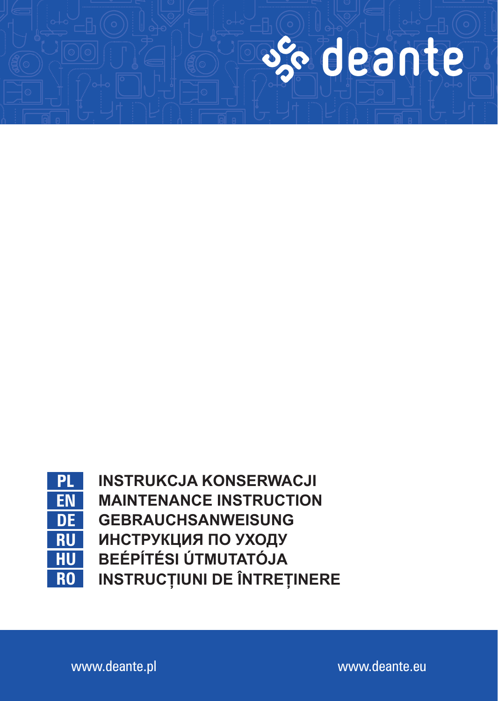



**INSTRUKCJA KONSERWACJI MAINTENANCE INSTRUCTION GEBRAUCHSANWEISUNG ИНСТРУКЦИЯ ПО УХОДУ BEÉPÍTÉSI ÚTMUTATÓJA INSTRUCȚIUNI DE ÎNTREȚINERE**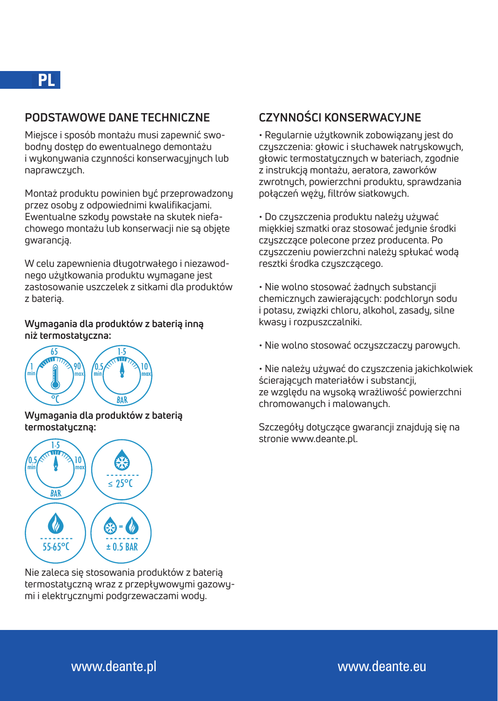

## **Podstawowe dane techniczne**

Miejsce i sposób montażu musi zapewnić swobodny dostęp do ewentualnego demontażu i wykonywania czynności konserwacyjnych lub naprawczych.

Montaż produktu powinien być przeprowadzony przez osoby z odpowiednimi kwalifikacjami. Ewentualne szkody powstałe na skutek niefachowego montażu lub konserwacji nie są objęte gwarancją.

W celu zapewnienia długotrwałego i niezawodnego użytkowania produktu wymagane jest zastosowanie uszczelek z sitkami dla produktów z baterią.

### **Wymagania dla produktów z baterią inną niż termostatyczna:**



#### **Wymagania dla produktów z baterią termostatyczną:**



Nie zaleca się stosowania produktów z baterią termostatyczną wraz z przepływowymi gazowymi i elektrycznymi podgrzewaczami wody.

## **Czynności konserwacyjne**

• Regularnie użytkownik zobowiązany jest do czyszczenia: głowic i słuchawek natryskowych, głowic termostatycznych w bateriach, zgodnie z instrukcją montażu, aeratora, zaworków zwrotnych, powierzchni produktu, sprawdzania połączeń węży, filtrów siatkowych.

 $\cdot$  Do czyszczenia produktu należy używać miękkiej szmatki oraz stosować jedynie środki czyszczące polecone przez producenta. Po czyszczeniu powierzchni należy spłukać wodą resztki środka czyszczącego.

• Nie wolno stosować żadnych substancji chemicznych zawierających: podchloryn sodu i potasu, związki chloru, alkohol, zasady, silne kwasy i rozpuszczalniki.

• Nie wolno stosować oczyszczaczy parowych.

• Nie należy używać do czyszczenia jakichkolwiek ścierających materiałów i substancji, ze względu na wysoką wrażliwość powierzchni chromowanych i malowanych.

Szczegóły dotyczące gwarancji znajdują się na stronie www.deante.pl.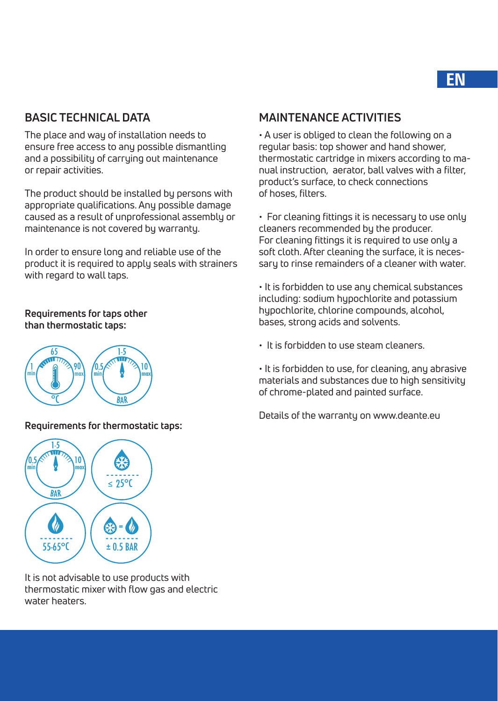## **BASIC TECHNICAL DATA**

The place and way of installation needs to ensure free access to any possible dismantling and a possibility of carrying out maintenance or repair activities.

The product should be installed by persons with appropriate qualifications. Any possible damage caused as a result of unprofessional assembly or maintenance is not covered by warranty.

In order to ensure long and reliable use of the product it is required to apply seals with strainers with regard to wall taps.

#### **Requirements for taps other than thermostatic taps:**



#### **Requirements for thermostatic taps:**



It is not advisable to use products with thermostatic mixer with flow gas and electric water heaters.

## **MAINTENANCE ACTIVITIES**

• A user is obliged to clean the following on a regular basis: top shower and hand shower, thermostatic cartridge in mixers according to manual instruction, aerator, ball valves with a filter, product's surface, to check connections .<br>Of hoses, filters

• For cleaning fittings it is necessary to use only cleaners recommended by the producer. For cleaning fittings it is required to use only a soft cloth. After cleaning the surface, it is necessary to rinse remainders of a cleaner with water.

• It is forbidden to use any chemical substances including: sodium hypochlorite and potassium hypochlorite, chlorine compounds, alcohol, bases, strong acids and solvents.

• It is forbidden to use steam cleaners.

• It is forbidden to use, for cleaning, any abrasive materials and substances due to high sensitivity of chrome-plated and painted surface.

Details of the warranty on www.deante.eu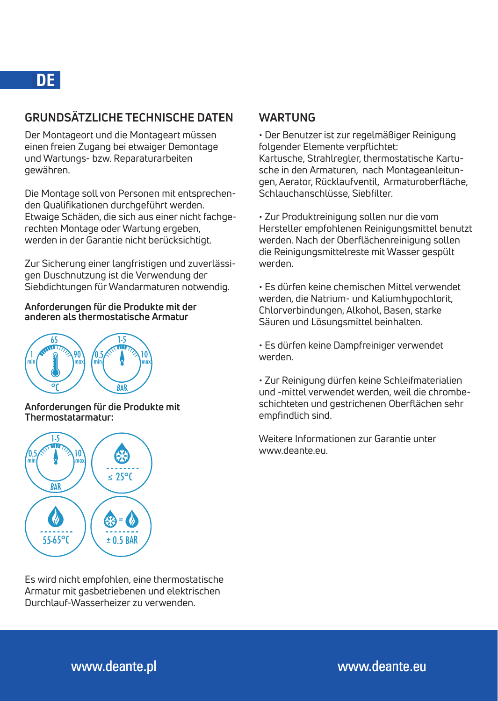## **GRUNDSÄTZLICHE TECHNISCHE DATEN**

Der Montageort und die Montageart müssen einen freien Zugang bei etwaiger Demontage und Wartungs- bzw. Reparaturarbeiten gewähren.

Die Montage soll von Personen mit entsprechenden Qualifikationen durchgeführt werden. Etwaige Schäden, die sich aus einer nicht fachgerechten Montage oder Wartung ergeben, werden in der Garantie nicht berücksichtigt.

Zur Sicherung einer langfristigen und zuverlässigen Duschnutzung ist die Verwendung der Siebdichtungen für Wandarmaturen notwendig.

#### **Anforderungen für die Produkte mit der anderen als thermostatische Armatur**



**Anforderungen für die Produkte mit Thermostatarmatur:**



Es wird nicht empfohlen, eine thermostatische Armatur mit gasbetriebenen und elektrischen Durchlauf-Wasserheizer zu verwenden.

## **WARTUNG**

• Der Benutzer ist zur regelmäßiger Reinigung folgender Elemente verpflichtet: Kartusche, Strahlregler, thermostatische Kartusche in den Armaturen, nach Montageanleitungen, Aerator, Rücklaufventil, Armaturoberfläche, Schlauchanschlüsse, Siebfilter.

• Zur Produktreinigung sollen nur die vom Hersteller empfohlenen Reinigungsmittel benutzt werden. Nach der Oberflächenreinigung sollen die Reinigungsmittelreste mit Wasser gespült werden.

• Es dürfen keine chemischen Mittel verwendet werden, die Natrium- und Kaliumhupochlorit. Chlorverbindungen, Alkohol, Basen, starke Säuren und Lösungsmittel beinhalten.

• Es dürfen keine Dampfreiniger verwendet werden.

• Zur Reinigung dürfen keine Schleifmaterialien und -mittel verwendet werden, weil die chrombeschichteten und gestrichenen Oberflächen sehr empfindlich sind.

Weitere Informationen zur Garantie unter www.deante.eu.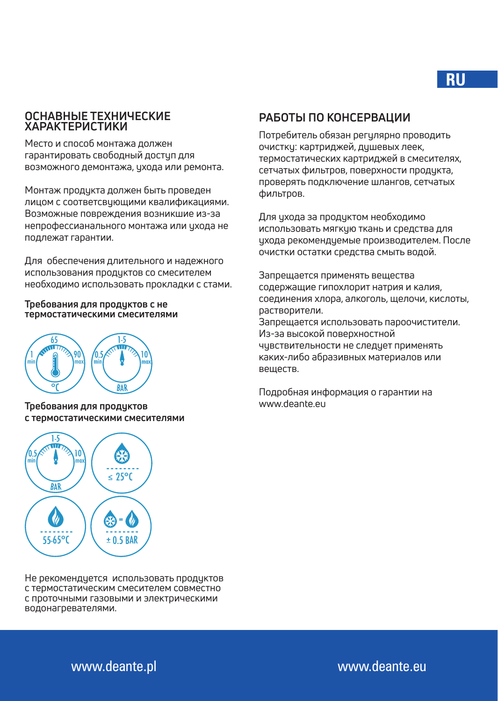#### **Оснавные технические характеристики**

Место и способ монтажа должен гарантировать свободный доступ для возможного демонтажа, ихода или ремонта.

Монтаж продукта должен быть проведен лицом с соответсвующими квалификациями. Возможные повреждения возникшие из-за непрофессианального монтажа или ухода не подлежат гарантии.

Для обеспечения длительного и надежного использования продуктов со смесителем необходимо использовать прокладки с стами.

#### **Требования для продуктов с не термостатическими смесителями**



**Требования для продуктов с термостатическими смесителями**



Не рекомендуется использовать продуктов с термостатическим смесителем совместно с проточными газовыми и электрическими водонагревателями.

## **Работы по консервации**

Потребитель обязан регулярно проводить очистки: картриджей, дишевых леек. термостатических картриджей в смесителях, сетчатых фильтров, поверхности продукта, проверять подключение шлангов, сетчатых фильтров.

Для ухода за продуктом необходимо использовать мягкую ткань и средства для ухода рекомендуемые производителем. После очистки остатки средства смыть водой.

Запрещается применять вещества содержащие гипохлорит натрия и калия, соединения хлора, алкоголь, щелочи, кислоты, растворители.

Запрещается использовать пароочистители. Из-за высокой поверхностной

чувствительности не следует применять каких-либо абразивных материалов или веществ.

Подробная информация о гарантии на www.ceante.eu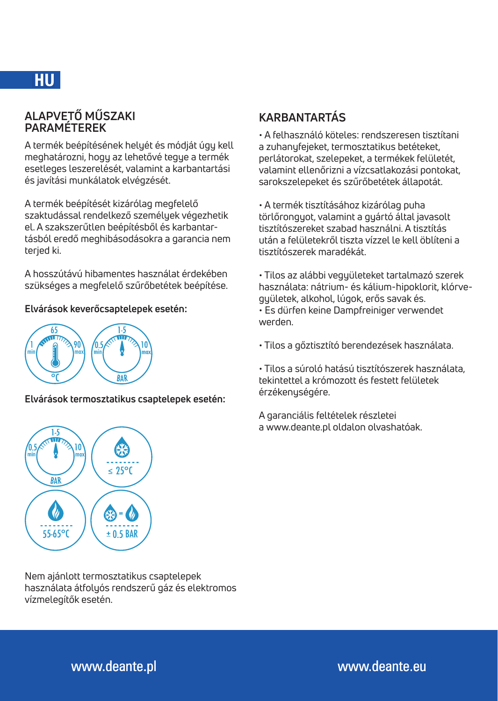# **HU**

## **ALAPVETŐ MŰSZAKI PARAMÉTEREK**

A termék beépítésének helyét és módját úgy kell meghatározni, hogy az lehetővé tegye a termék esetleges leszerelését, valamint a karbantartási és javítási munkálatok elvégzését.

A termék beépítését kizárólag megfelelő szaktudással rendelkező személyek végezhetik el. A szakszerűtlen beépítésből és karbantartásból eredő meghibásodásokra a garancia nem terjed ki.

A hosszútávú hibamentes használat érdekében szükséges a megfelelő szűrőbetétek beépítése.

#### **Elvárások keverőcsaptelepek esetén:**



**Elvárások termosztatikus csaptelepek esetén:**

## **KARBANTARTÁS**

• A felhasználó köteles: rendszeresen tisztítani a zuhanyfejeket, termosztatikus betéteket, perlátorokat, szelepeket, a termékek felületét, valamint ellenőrizni a vízcsatlakozási pontokat, sarokszelepeket és szűrőbetétek állapotát.

• A termék tisztításához kizárólag puha törlőrongyot, valamint a gyártó által javasolt tisztítószereket szabad használni. A tisztítás után a felületekről tiszta vízzel le kell öblíteni a tisztítószerek maradékát.

• Tilos az alábbi vegyületeket tartalmazó szerek használata: nátrium- és kálium-hipoklorit, klórvegyületek, alkohol, lúgok, erős savak és. • Es dürfen keine Dampfreiniger verwendet werden.

• Tilos a gőztisztító berendezések használata.

• Tilos a súroló hatású tisztítószerek használata, tekintettel a krómozott és festett felületek érzékenységére.

A garanciális feltételek részletei a www.deante.pl oldalon olvashatóak.



Nem ajánlott termosztatikus csaptelepek használata átfolyós rendszerű gáz és elektromos vízmelegítők esetén.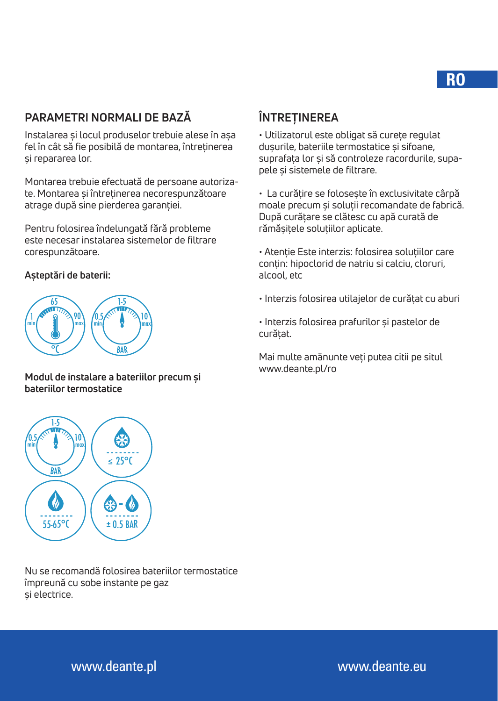## **Parametri normali de bază**

Instalarea și locul produselor trebuie alese în așa fel în cât să fie posibilă de montarea, întreținerea și repararea lor.

Montarea trebuie efectuată de persoane autorizate. Montarea și întreținerea necorespunzătoare atrage după sine pierderea garanției.

Pentru folosirea îndelungată fără probleme este necesar instalarea sistemelor de filtrare corespunzătoare.

#### **Așteptări de baterii:**



**Modul de instalare a bateriilor precum și bateriilor termostatice** 

## **ÎNTREȚINEREA**

• Utilizatorul este obligat să curețe regulat dușurile, bateriile termostatice și sifoane, suprafața lor și să controleze racordurile, supapele și sistemele de filtrare.

• La curățire se folosește în exclusivitate cârpă moale precum și soluții recomandate de fabrică. După curățare se clătesc cu apă curată de rămășițele soluțiilor aplicate.

• Atenție Este interzis: folosirea soluțiilor care conțin: hipoclorid de natriu si calciu, cloruri, alcool, etc

• Interzis folosirea utilajelor de curățat cu aburi

• Interzis folosirea prafurilor și pastelor de curățat.

Mai multe amănunte veți putea citii pe situl www.deante.pl/ro



Nu se recomandă folosirea bateriilor termostatice împreună cu sobe instante pe gaz și electrice.